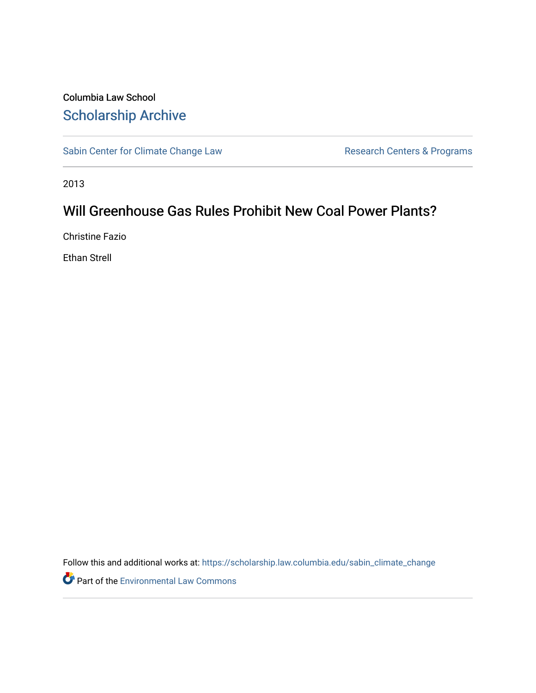### Columbia Law School [Scholarship Archive](https://scholarship.law.columbia.edu/)

[Sabin Center for Climate Change Law](https://scholarship.law.columbia.edu/sabin_climate_change) Research Centers & Programs

2013

## Will Greenhouse Gas Rules Prohibit New Coal Power Plants?

Christine Fazio

Ethan Strell

Follow this and additional works at: [https://scholarship.law.columbia.edu/sabin\\_climate\\_change](https://scholarship.law.columbia.edu/sabin_climate_change?utm_source=scholarship.law.columbia.edu%2Fsabin_climate_change%2F148&utm_medium=PDF&utm_campaign=PDFCoverPages) 

Part of the [Environmental Law Commons](http://network.bepress.com/hgg/discipline/599?utm_source=scholarship.law.columbia.edu%2Fsabin_climate_change%2F148&utm_medium=PDF&utm_campaign=PDFCoverPages)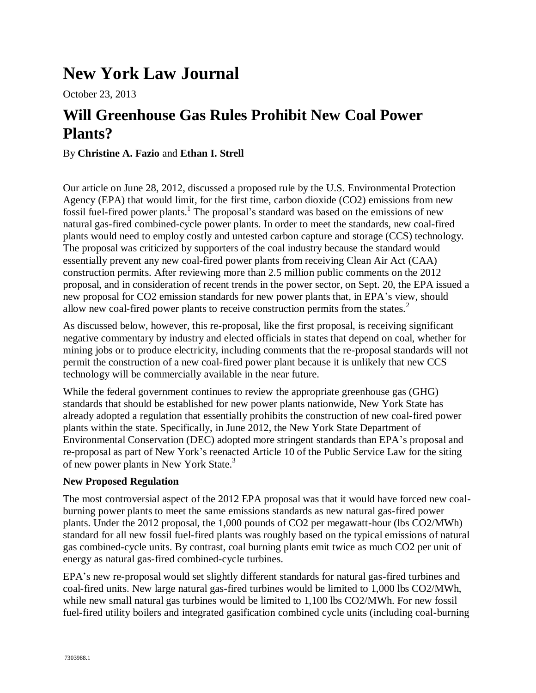# **New York Law Journal**

October 23, 2013

## **Will Greenhouse Gas Rules Prohibit New Coal Power Plants?**

#### By **Christine A. Fazio** and **Ethan I. Strell**

Our article on June 28, 2012, discussed a proposed rule by the U.S. Environmental Protection Agency (EPA) that would limit, for the first time, carbon dioxide (CO2) emissions from new fossil fuel-fired power plants.<sup>1</sup> The proposal's standard was based on the emissions of new natural gas-fired combined-cycle power plants. In order to meet the standards, new coal-fired plants would need to employ costly and untested carbon capture and storage (CCS) technology. The proposal was criticized by supporters of the coal industry because the standard would essentially prevent any new coal-fired power plants from receiving Clean Air Act (CAA) construction permits. After reviewing more than 2.5 million public comments on the 2012 proposal, and in consideration of recent trends in the power sector, on Sept. 20, the EPA issued a new proposal for CO2 emission standards for new power plants that, in EPA's view, should allow new coal-fired power plants to receive construction permits from the states.<sup>2</sup>

As discussed below, however, this re-proposal, like the first proposal, is receiving significant negative commentary by industry and elected officials in states that depend on coal, whether for mining jobs or to produce electricity, including comments that the re-proposal standards will not permit the construction of a new coal-fired power plant because it is unlikely that new CCS technology will be commercially available in the near future.

While the federal government continues to review the appropriate greenhouse gas (GHG) standards that should be established for new power plants nationwide, New York State has already adopted a regulation that essentially prohibits the construction of new coal-fired power plants within the state. Specifically, in June 2012, the New York State Department of Environmental Conservation (DEC) adopted more stringent standards than EPA's proposal and re-proposal as part of New York's reenacted Article 10 of the Public Service Law for the siting of new power plants in New York State.<sup>3</sup>

#### **New Proposed Regulation**

The most controversial aspect of the 2012 EPA proposal was that it would have forced new coalburning power plants to meet the same emissions standards as new natural gas-fired power plants. Under the 2012 proposal, the 1,000 pounds of CO2 per megawatt-hour (lbs CO2/MWh) standard for all new fossil fuel-fired plants was roughly based on the typical emissions of natural gas combined-cycle units. By contrast, coal burning plants emit twice as much CO2 per unit of energy as natural gas-fired combined-cycle turbines.

EPA's new re-proposal would set slightly different standards for natural gas-fired turbines and coal-fired units. New large natural gas-fired turbines would be limited to 1,000 lbs CO2/MWh, while new small natural gas turbines would be limited to 1,100 lbs CO2/MWh. For new fossil fuel-fired utility boilers and integrated gasification combined cycle units (including coal-burning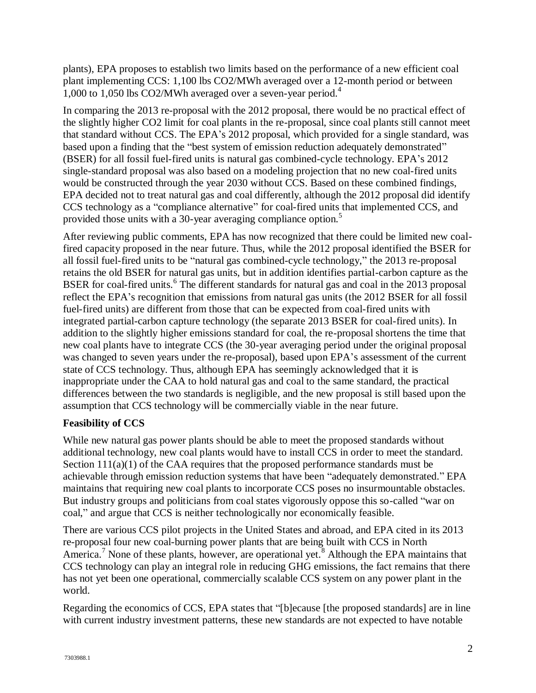plants), EPA proposes to establish two limits based on the performance of a new efficient coal plant implementing CCS: 1,100 lbs CO2/MWh averaged over a 12-month period or between 1,000 to 1,050 lbs CO2/MWh averaged over a seven-year period.<sup>4</sup>

In comparing the 2013 re-proposal with the 2012 proposal, there would be no practical effect of the slightly higher CO2 limit for coal plants in the re-proposal, since coal plants still cannot meet that standard without CCS. The EPA's 2012 proposal, which provided for a single standard, was based upon a finding that the "best system of emission reduction adequately demonstrated" (BSER) for all fossil fuel-fired units is natural gas combined-cycle technology. EPA's 2012 single-standard proposal was also based on a modeling projection that no new coal-fired units would be constructed through the year 2030 without CCS. Based on these combined findings, EPA decided not to treat natural gas and coal differently, although the 2012 proposal did identify CCS technology as a "compliance alternative" for coal-fired units that implemented CCS, and provided those units with a 30-year averaging compliance option.<sup>5</sup>

After reviewing public comments, EPA has now recognized that there could be limited new coalfired capacity proposed in the near future. Thus, while the 2012 proposal identified the BSER for all fossil fuel-fired units to be "natural gas combined-cycle technology," the 2013 re-proposal retains the old BSER for natural gas units, but in addition identifies partial-carbon capture as the BSER for coal-fired units.<sup>6</sup> The different standards for natural gas and coal in the 2013 proposal reflect the EPA's recognition that emissions from natural gas units (the 2012 BSER for all fossil fuel-fired units) are different from those that can be expected from coal-fired units with integrated partial-carbon capture technology (the separate 2013 BSER for coal-fired units). In addition to the slightly higher emissions standard for coal, the re-proposal shortens the time that new coal plants have to integrate CCS (the 30-year averaging period under the original proposal was changed to seven years under the re-proposal), based upon EPA's assessment of the current state of CCS technology. Thus, although EPA has seemingly acknowledged that it is inappropriate under the CAA to hold natural gas and coal to the same standard, the practical differences between the two standards is negligible, and the new proposal is still based upon the assumption that CCS technology will be commercially viable in the near future.

#### **Feasibility of CCS**

While new natural gas power plants should be able to meet the proposed standards without additional technology, new coal plants would have to install CCS in order to meet the standard. Section  $11(a)(1)$  of the CAA requires that the proposed performance standards must be achievable through emission reduction systems that have been "adequately demonstrated." EPA maintains that requiring new coal plants to incorporate CCS poses no insurmountable obstacles. But industry groups and politicians from coal states vigorously oppose this so-called "war on coal," and argue that CCS is neither technologically nor economically feasible.

There are various CCS pilot projects in the United States and abroad, and EPA cited in its 2013 re-proposal four new coal-burning power plants that are being built with CCS in North America.<sup>7</sup> None of these plants, however, are operational yet.<sup>8</sup> Although the EPA maintains that CCS technology can play an integral role in reducing GHG emissions, the fact remains that there has not yet been one operational, commercially scalable CCS system on any power plant in the world.

Regarding the economics of CCS, EPA states that "[b]ecause [the proposed standards] are in line with current industry investment patterns, these new standards are not expected to have notable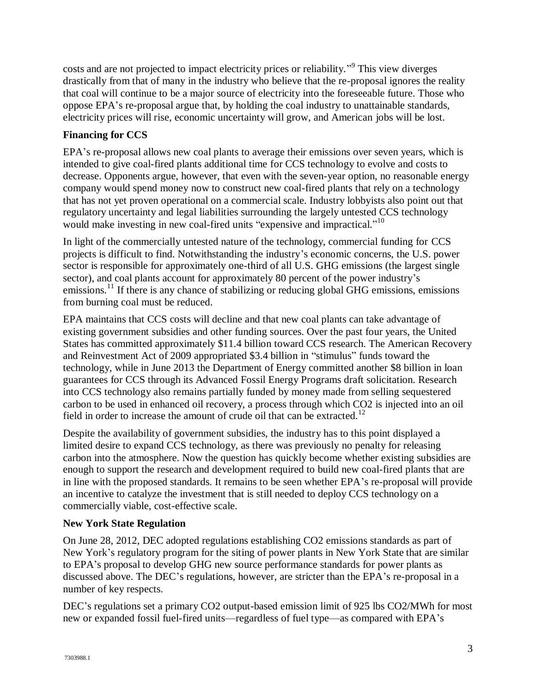costs and are not projected to impact electricity prices or reliability."<sup>9</sup> This view diverges drastically from that of many in the industry who believe that the re-proposal ignores the reality that coal will continue to be a major source of electricity into the foreseeable future. Those who oppose EPA's re-proposal argue that, by holding the coal industry to unattainable standards, electricity prices will rise, economic uncertainty will grow, and American jobs will be lost.

### **Financing for CCS**

EPA's re-proposal allows new coal plants to average their emissions over seven years, which is intended to give coal-fired plants additional time for CCS technology to evolve and costs to decrease. Opponents argue, however, that even with the seven-year option, no reasonable energy company would spend money now to construct new coal-fired plants that rely on a technology that has not yet proven operational on a commercial scale. Industry lobbyists also point out that regulatory uncertainty and legal liabilities surrounding the largely untested CCS technology would make investing in new coal-fired units "expensive and impractical."<sup>10</sup>

In light of the commercially untested nature of the technology, commercial funding for CCS projects is difficult to find. Notwithstanding the industry's economic concerns, the U.S. power sector is responsible for approximately one-third of all U.S. GHG emissions (the largest single sector), and coal plants account for approximately 80 percent of the power industry's emissions.<sup>11</sup> If there is any chance of stabilizing or reducing global GHG emissions, emissions from burning coal must be reduced.

EPA maintains that CCS costs will decline and that new coal plants can take advantage of existing government subsidies and other funding sources. Over the past four years, the United States has committed approximately \$11.4 billion toward CCS research. The American Recovery and Reinvestment Act of 2009 appropriated \$3.4 billion in "stimulus" funds toward the technology, while in June 2013 the Department of Energy committed another \$8 billion in loan guarantees for CCS through its Advanced Fossil Energy Programs draft solicitation. Research into CCS technology also remains partially funded by money made from selling sequestered carbon to be used in enhanced oil recovery, a process through which CO2 is injected into an oil field in order to increase the amount of crude oil that can be extracted.<sup>12</sup>

Despite the availability of government subsidies, the industry has to this point displayed a limited desire to expand CCS technology, as there was previously no penalty for releasing carbon into the atmosphere. Now the question has quickly become whether existing subsidies are enough to support the research and development required to build new coal-fired plants that are in line with the proposed standards. It remains to be seen whether EPA's re-proposal will provide an incentive to catalyze the investment that is still needed to deploy CCS technology on a commercially viable, cost-effective scale.

#### **New York State Regulation**

On June 28, 2012, DEC adopted regulations establishing CO2 emissions standards as part of New York's regulatory program for the siting of power plants in New York State that are similar to EPA's proposal to develop GHG new source performance standards for power plants as discussed above. The DEC's regulations, however, are stricter than the EPA's re-proposal in a number of key respects.

DEC's regulations set a primary CO2 output-based emission limit of 925 lbs CO2/MWh for most new or expanded fossil fuel-fired units—regardless of fuel type—as compared with EPA's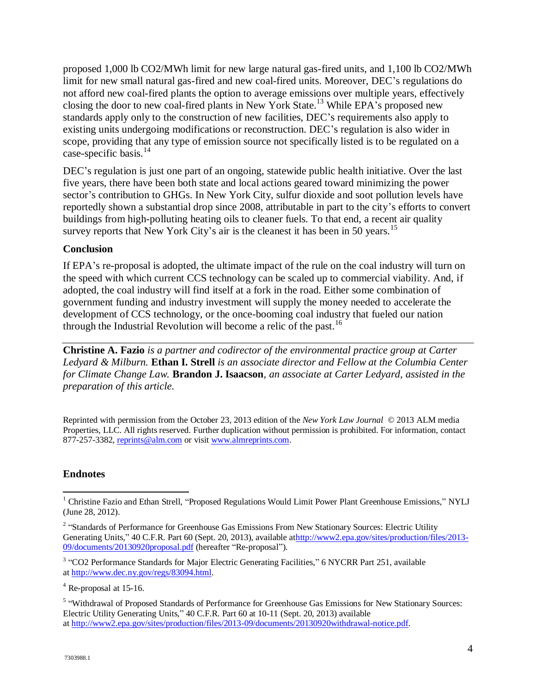proposed 1,000 lb CO2/MWh limit for new large natural gas-fired units, and 1,100 lb CO2/MWh limit for new small natural gas-fired and new coal-fired units. Moreover, DEC's regulations do not afford new coal-fired plants the option to average emissions over multiple years, effectively closing the door to new coal-fired plants in New York State.<sup>13</sup> While EPA's proposed new standards apply only to the construction of new facilities, DEC's requirements also apply to existing units undergoing modifications or reconstruction. DEC's regulation is also wider in scope, providing that any type of emission source not specifically listed is to be regulated on a case-specific basis. $^{14}$ 

DEC's regulation is just one part of an ongoing, statewide public health initiative. Over the last five years, there have been both state and local actions geared toward minimizing the power sector's contribution to GHGs. In New York City, sulfur dioxide and soot pollution levels have reportedly shown a substantial drop since 2008, attributable in part to the city's efforts to convert buildings from high-polluting heating oils to cleaner fuels. To that end, a recent air quality survey reports that New York City's air is the cleanest it has been in 50 years.<sup>15</sup>

#### **Conclusion**

If EPA's re-proposal is adopted, the ultimate impact of the rule on the coal industry will turn on the speed with which current CCS technology can be scaled up to commercial viability. And, if adopted, the coal industry will find itself at a fork in the road. Either some combination of government funding and industry investment will supply the money needed to accelerate the development of CCS technology, or the once-booming coal industry that fueled our nation through the Industrial Revolution will become a relic of the past.<sup>16</sup>

**Christine A. Fazio** *is a partner and codirector of the environmental practice group at Carter Ledyard & Milburn.* **Ethan I. Strell** *is an associate director and Fellow at the Columbia Center for Climate Change Law.* **Brandon J. Isaacson***, an associate at Carter Ledyard, assisted in the preparation of this article.*

Reprinted with permission from the October 23, 2013 edition of the *New York Law Journal* © 2013 ALM media Properties, LLC. All rights reserved. Further duplication without permission is prohibited. For information, contact 877-257-3382[, reprints@alm.com](mailto:reprints@alm.com) or visit [www.almreprints.com.](http://www.almreprints.com/)

#### **Endnotes**

 $\overline{\phantom{a}}$ <sup>1</sup> Christine Fazio and Ethan Strell, "Proposed Regulations Would Limit Power Plant Greenhouse Emissions," NYLJ (June 28, 2012).

<sup>&</sup>lt;sup>2</sup> "Standards of Performance for Greenhouse Gas Emissions From New Stationary Sources: Electric Utility Generating Units," 40 C.F.R. Part 60 (Sept. 20, 2013), available a[thttp://www2.epa.gov/sites/production/files/2013-](http://www2.epa.gov/sites/production/files/2013-09/documents/20130920proposal.pdf) [09/documents/20130920proposal.pdf](http://www2.epa.gov/sites/production/files/2013-09/documents/20130920proposal.pdf) (hereafter "Re-proposal").

<sup>&</sup>lt;sup>3</sup> "CO2 Performance Standards for Major Electric Generating Facilities," 6 NYCRR Part 251, available at [http://www.dec.ny.gov/regs/83094.html.](http://www.dec.ny.gov/regs/83094.html)

<sup>4</sup> Re-proposal at 15-16.

<sup>&</sup>lt;sup>5</sup> "Withdrawal of Proposed Standards of Performance for Greenhouse Gas Emissions for New Stationary Sources: Electric Utility Generating Units," 40 C.F.R. Part 60 at 10-11 (Sept. 20, 2013) available at [http://www2.epa.gov/sites/production/files/2013-09/documents/20130920withdrawal-notice.pdf.](http://www2.epa.gov/sites/production/files/2013-09/documents/20130920withdrawal-notice.pdf)